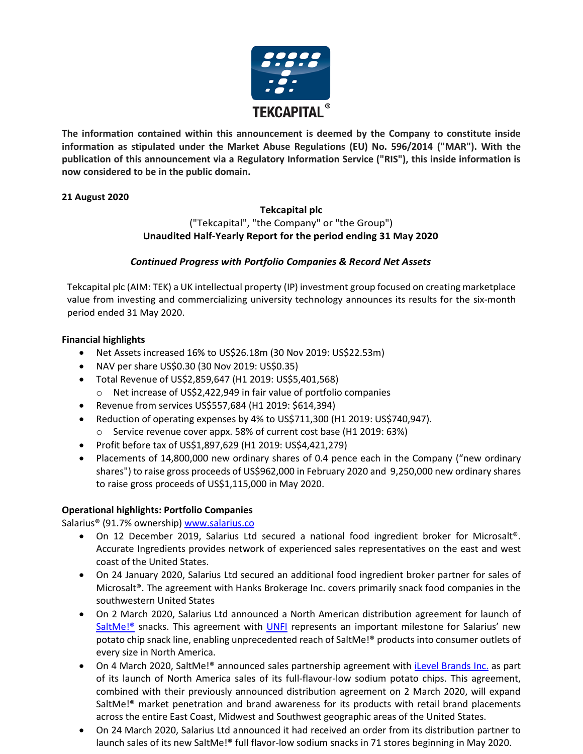

**The information contained within this announcement is deemed by the Company to constitute inside information as stipulated under the Market Abuse Regulations (EU) No. 596/2014 ("MAR"). With the publication of this announcement via a Regulatory Information Service ("RIS"), this inside information is now considered to be in the public domain.**

### **21 August 2020**

### **Tekcapital plc** ("Tekcapital", "the Company" or "the Group")  **Unaudited Half-Yearly Report for the period ending 31 May 2020**

# *Continued Progress with Portfolio Companies & Record Net Assets*

Tekcapital plc (AIM: TEK) a UK intellectual property (IP) investment group focused on creating marketplace value from investing and commercializing university technology announces its results for the six-month period ended 31 May 2020.

### **Financial highlights**

- Net Assets increased 16% to US\$26.18m (30 Nov 2019: US\$22.53m)
- NAV per share US\$0.30 (30 Nov 2019: US\$0.35)
- Total Revenue of US\$2,859,647 (H1 2019: US\$5,401,568)
	- o Net increase of US\$2,422,949 in fair value of portfolio companies
- Revenue from services US\$557,684 (H1 2019: \$614,394)
- Reduction of operating expenses by 4% to US\$711,300 (H1 2019: US\$740,947).
	- o Service revenue cover appx. 58% of current cost base (H1 2019: 63%)
- Profit before tax of US\$1,897,629 (H1 2019: US\$4,421,279)
- Placements of 14,800,000 new ordinary shares of 0.4 pence each in the Company ("new ordinary shares") to raise gross proceeds of US\$962,000 in February 2020 and 9,250,000 new ordinary shares to raise gross proceeds of US\$1,115,000 in May 2020.

# **Operational highlights: Portfolio Companies**

Salarius® (91.7% ownership) [www.salarius.co](http://www.salarius.co/)

- On 12 December 2019, Salarius Ltd secured a national food ingredient broker for Microsalt®. Accurate Ingredients provides network of experienced sales representatives on the east and west coast of the United States.
- On 24 January 2020, Salarius Ltd secured an additional food ingredient broker partner for sales of Microsalt®. The agreement with Hanks Brokerage Inc. covers primarily snack food companies in the southwestern United States
- On 2 March 2020, Salarius Ltd announced a North American distribution agreement for launch of SaltMe!<sup>®</sup> snacks. This agreement with **UNFI** represents an important milestone for Salarius' new potato chip snack line, enabling unprecedented reach of SaltMe!® products into consumer outlets of every size in North America.
- On 4 March 2020, SaltMe!<sup>®</sup> announced sales partnership agreement with [iLevel Brands Inc.](https://ilevelbrands.com/) as part of its launch of North America sales of its full-flavour-low sodium potato chips. This agreement, combined with their previously announced distribution agreement on 2 March 2020, will expand SaltMe!® market penetration and brand awareness for its products with retail brand placements across the entire East Coast, Midwest and Southwest geographic areas of the United States.
- On 24 March 2020, Salarius Ltd announced it had received an order from its distribution partner to launch sales of its new SaltMe!® full flavor-low sodium snacks in 71 stores beginning in May 2020.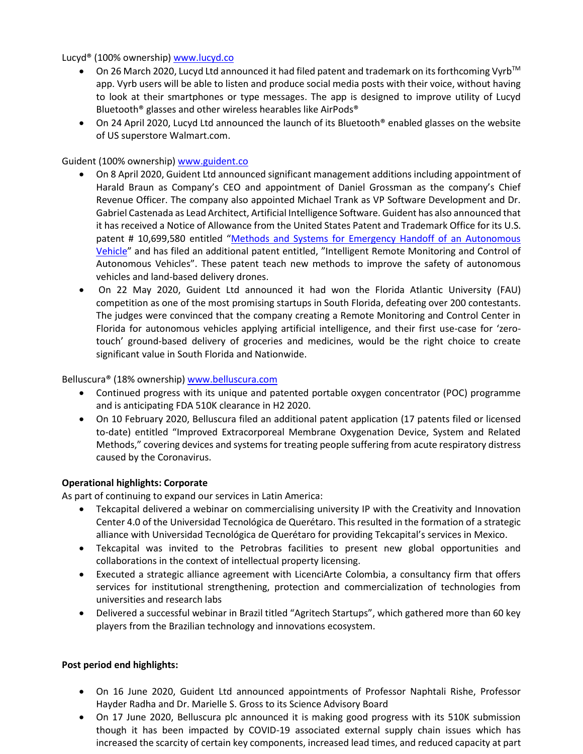Lucyd® (100% ownership) [www.lucyd.co](http://www.lucyd.co/)

- On 26 March 2020, Lucyd Ltd announced it had filed patent and trademark on its forthcoming Vyrb<sup>™</sup> app. Vyrb users will be able to listen and produce social media posts with their voice, without having to look at their smartphones or type messages. The app is designed to improve utility of Lucyd Bluetooth® glasses and other wireless hearables like AirPods®
- On 24 April 2020, Lucyd Ltd announced the launch of its Bluetooth<sup>®</sup> enabled glasses on the website of US superstore Walmart.com.

### Guident (100% ownership) [www.guident.co](http://www.guident.co/)

- On 8 April 2020, Guident Ltd announced significant management additions including appointment of Harald Braun as Company's CEO and appointment of Daniel Grossman as the company's Chief Revenue Officer. The company also appointed Michael Trank as VP Software Development and Dr. Gabriel Castenada as Lead Architect, Artificial Intelligence Software. Guident has also announced that it has received a Notice of Allowance from the United States Patent and Trademark Office for its U.S. patent # 10,699,580 entitled "[Methods and Systems for Emergency Handoff of an Autonomous](http://patft.uspto.gov/netacgi/nph-Parser?Sect1=PTO2&Sect2=HITOFF&p=1&u=%2Fnetahtml%2FPTO%2Fsearch-bool.html&r=1&f=G&l=50&co1=AND&d=PTXT&s1=10699580&OS=10699580&RS=10699580)  [Vehicle](http://patft.uspto.gov/netacgi/nph-Parser?Sect1=PTO2&Sect2=HITOFF&p=1&u=%2Fnetahtml%2FPTO%2Fsearch-bool.html&r=1&f=G&l=50&co1=AND&d=PTXT&s1=10699580&OS=10699580&RS=10699580)" and has filed an additional patent entitled, "Intelligent Remote Monitoring and Control of Autonomous Vehicles". These patent teach new methods to improve the safety of autonomous vehicles and land-based delivery drones.
- On 22 May 2020, Guident Ltd announced it had won the Florida Atlantic University (FAU) competition as one of the most promising startups in South Florida, defeating over 200 contestants. The judges were convinced that the company creating a Remote Monitoring and Control Center in Florida for autonomous vehicles applying artificial intelligence, and their first use-case for 'zerotouch' ground-based delivery of groceries and medicines, would be the right choice to create significant value in South Florida and Nationwide.

### Belluscura® (18% ownership) [www.belluscura.com](http://www.belluscura.com/)

- Continued progress with its unique and patented portable oxygen concentrator (POC) programme and is anticipating FDA 510K clearance in H2 2020.
- On 10 February 2020, Belluscura filed an additional patent application (17 patents filed or licensed to-date) entitled "Improved Extracorporeal Membrane Oxygenation Device, System and Related Methods," covering devices and systems for treating people suffering from acute respiratory distress caused by the Coronavirus.

# **Operational highlights: Corporate**

As part of continuing to expand our services in Latin America:

- Tekcapital delivered a webinar on commercialising university IP with the Creativity and Innovation Center 4.0 of the Universidad Tecnológica de Querétaro. This resulted in the formation of a strategic alliance with Universidad Tecnológica de Querétaro for providing Tekcapital's services in Mexico.
- Tekcapital was invited to the Petrobras facilities to present new global opportunities and collaborations in the context of intellectual property licensing.
- Executed a strategic alliance agreement with LicenciArte Colombia, a consultancy firm that offers services for institutional strengthening, protection and commercialization of technologies from universities and research labs
- Delivered a successful webinar in Brazil titled "Agritech Startups", which gathered more than 60 key players from the Brazilian technology and innovations ecosystem.

### **Post period end highlights:**

- On 16 June 2020, Guident Ltd announced appointments of Professor Naphtali Rishe, Professor Hayder Radha and Dr. Marielle S. Gross to its Science Advisory Board
- On 17 June 2020, Belluscura plc announced it is making good progress with its 510K submission though it has been impacted by COVID-19 associated external supply chain issues which has increased the scarcity of certain key components, increased lead times, and reduced capacity at part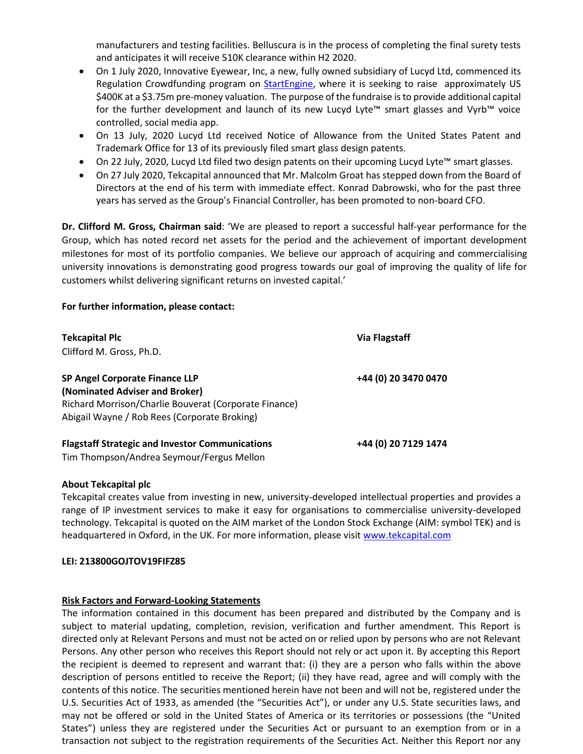manufacturers and testing facilities. Belluscura is in the process of completing the final surety tests and anticipates it will receive 510K clearance within H2 2020.

- On 1 July 2020, Innovative Eyewear, Inc, a new, fully owned subsidiary of Lucyd Ltd, commenced its Regulation Crowdfunding program on [StartEngine,](https://www.startengine.com/innoeye) where it is seeking to raise approximately US \$400K at a \$3.75m pre-money valuation. The purpose of the fundraise is to provide additional capital for the further development and launch of its new Lucyd Lyte™ smart glasses and Vyrb™ voice controlled, social media app.
- On 13 July, 2020 Lucyd Ltd received Notice of Allowance from the United States Patent and Trademark Office for 13 of its previously filed smart glass design patents.
- On 22 July, 2020, Lucyd Ltd filed two design patents on their upcoming Lucyd Lyte™ smart glasses.
- On 27 July 2020, Tekcapital announced that Mr. Malcolm Groat has stepped down from the Board of Directors at the end of his term with immediate effect. Konrad Dabrowski, who for the past three years has served as the Group's Financial Controller, has been promoted to non-board CFO.

**Dr. Clifford M. Gross, Chairman said**: 'We are pleased to report a successful half-year performance for the Group, which has noted record net assets for the period and the achievement of important development milestones for most of its portfolio companies. We believe our approach of acquiring and commercialising university innovations is demonstrating good progress towards our goal of improving the quality of life for customers whilst delivering significant returns on invested capital.'

### **For further information, please contact:**

| <b>Tekcapital Plc</b><br>Clifford M. Gross, Ph.D.                                                                                                                                | <b>Via Flagstaff</b> |
|----------------------------------------------------------------------------------------------------------------------------------------------------------------------------------|----------------------|
| <b>SP Angel Corporate Finance LLP</b><br>(Nominated Adviser and Broker)<br>Richard Morrison/Charlie Bouverat (Corporate Finance)<br>Abigail Wayne / Rob Rees (Corporate Broking) | +44 (0) 20 3470 0470 |
| <b>Flagstaff Strategic and Investor Communications</b>                                                                                                                           | +44 (0) 20 7129 1474 |

Tim Thompson/Andrea Seymour/Fergus Mellon

### **About Tekcapital plc**

Tekcapital creates value from investing in new, university-developed intellectual properties and provides a range of IP investment services to make it easy for organisations to commercialise university-developed technology. Tekcapital is quoted on the AIM market of the London Stock Exchange (AIM: symbol TEK) and is headquartered in Oxford, in the UK. For more information, please visi[t www.tekcapital.com](http://www.tekcapital.com/)

#### **LEI: 213800GOJTOV19FIFZ85**

### **Risk Factors and Forward-Looking Statements**

The information contained in this document has been prepared and distributed by the Company and is subject to material updating, completion, revision, verification and further amendment. This Report is directed only at Relevant Persons and must not be acted on or relied upon by persons who are not Relevant Persons. Any other person who receives this Report should not rely or act upon it. By accepting this Report the recipient is deemed to represent and warrant that: (i) they are a person who falls within the above description of persons entitled to receive the Report; (ii) they have read, agree and will comply with the contents of this notice. The securities mentioned herein have not been and will not be, registered under the U.S. Securities Act of 1933, as amended (the "Securities Act"), or under any U.S. State securities laws, and may not be offered or sold in the United States of America or its territories or possessions (the "United States") unless they are registered under the Securities Act or pursuant to an exemption from or in a transaction not subject to the registration requirements of the Securities Act. Neither this Report nor any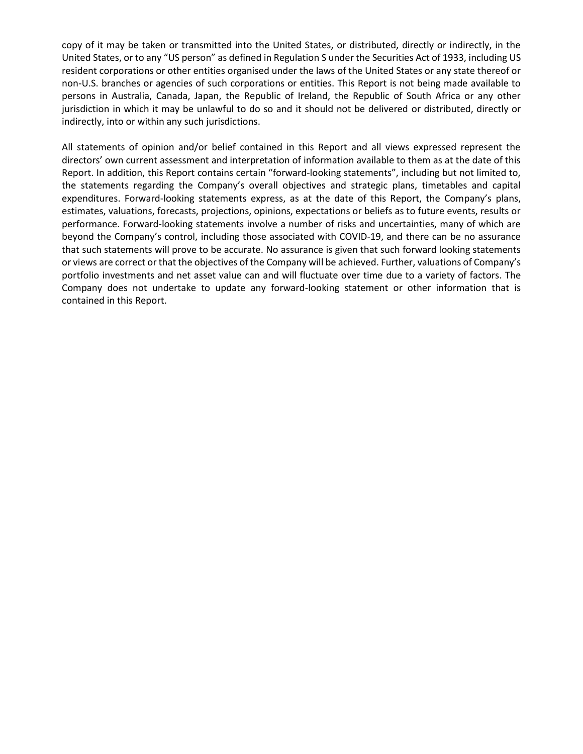copy of it may be taken or transmitted into the United States, or distributed, directly or indirectly, in the United States, or to any "US person" as defined in Regulation S under the Securities Act of 1933, including US resident corporations or other entities organised under the laws of the United States or any state thereof or non-U.S. branches or agencies of such corporations or entities. This Report is not being made available to persons in Australia, Canada, Japan, the Republic of Ireland, the Republic of South Africa or any other jurisdiction in which it may be unlawful to do so and it should not be delivered or distributed, directly or indirectly, into or within any such jurisdictions.

All statements of opinion and/or belief contained in this Report and all views expressed represent the directors' own current assessment and interpretation of information available to them as at the date of this Report. In addition, this Report contains certain "forward-looking statements", including but not limited to, the statements regarding the Company's overall objectives and strategic plans, timetables and capital expenditures. Forward-looking statements express, as at the date of this Report, the Company's plans, estimates, valuations, forecasts, projections, opinions, expectations or beliefs as to future events, results or performance. Forward-looking statements involve a number of risks and uncertainties, many of which are beyond the Company's control, including those associated with COVID-19, and there can be no assurance that such statements will prove to be accurate. No assurance is given that such forward looking statements or views are correct or that the objectives of the Company will be achieved. Further, valuations of Company's portfolio investments and net asset value can and will fluctuate over time due to a variety of factors. The Company does not undertake to update any forward-looking statement or other information that is contained in this Report.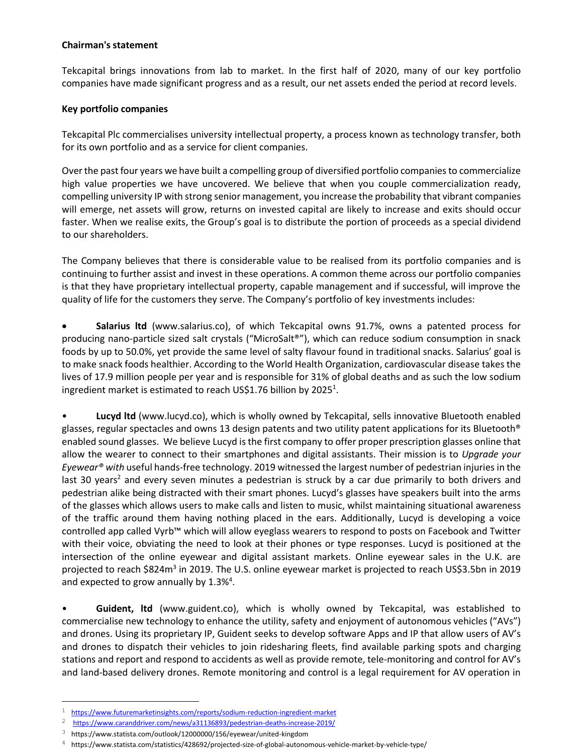### **Chairman's statement**

Tekcapital brings innovations from lab to market. In the first half of 2020, many of our key portfolio companies have made significant progress and as a result, our net assets ended the period at record levels.

### **Key portfolio companies**

Tekcapital Plc commercialises university intellectual property, a process known as technology transfer, both for its own portfolio and as a service for client companies.

Over the past four years we have built a compelling group of diversified portfolio companies to commercialize high value properties we have uncovered. We believe that when you couple commercialization ready, compelling university IP with strong senior management, you increase the probability that vibrant companies will emerge, net assets will grow, returns on invested capital are likely to increase and exits should occur faster. When we realise exits, the Group's goal is to distribute the portion of proceeds as a special dividend to our shareholders.

The Company believes that there is considerable value to be realised from its portfolio companies and is continuing to further assist and invest in these operations. A common theme across our portfolio companies is that they have proprietary intellectual property, capable management and if successful, will improve the quality of life for the customers they serve. The Company's portfolio of key investments includes:

 **Salarius ltd** (www.salarius.co), of which Tekcapital owns 91.7%, owns a patented process for producing nano-particle sized salt crystals ("MicroSalt®"), which can reduce sodium consumption in snack foods by up to 50.0%, yet provide the same level of salty flavour found in traditional snacks. Salarius' goal is to make snack foods healthier. According to the World Health Organization, cardiovascular disease takes the lives of 17.9 million people per year and is responsible for 31% of global deaths and as such the low sodium ingredient market is estimated to reach US\$1.76 billion by 2025<sup>1</sup>.

• **Lucyd ltd** (www.lucyd.co), which is wholly owned by Tekcapital, sells innovative Bluetooth enabled glasses, regular spectacles and owns 13 design patents and two utility patent applications for its Bluetooth® enabled sound glasses. We believe Lucyd is the first company to offer proper prescription glasses online that allow the wearer to connect to their smartphones and digital assistants. Their mission is to *Upgrade your Eyewear® with* useful hands-free technology. 2019 witnessed the largest number of pedestrian injuries in the last 30 years<sup>2</sup> and every seven minutes a pedestrian is struck by a car due primarily to both drivers and pedestrian alike being distracted with their smart phones. Lucyd's glasses have speakers built into the arms of the glasses which allows users to make calls and listen to music, whilst maintaining situational awareness of the traffic around them having nothing placed in the ears. Additionally, Lucyd is developing a voice controlled app called Vyrb™ which will allow eyeglass wearers to respond to posts on Facebook and Twitter with their voice, obviating the need to look at their phones or type responses. Lucyd is positioned at the intersection of the online eyewear and digital assistant markets. Online eyewear sales in the U.K. are projected to reach \$824m<sup>3</sup> in 2019. The U.S. online eyewear market is projected to reach US\$3.5bn in 2019 and expected to grow annually by 1.3%<sup>4</sup>.

• **Guident, ltd** (www.guident.co), which is wholly owned by Tekcapital, was established to commercialise new technology to enhance the utility, safety and enjoyment of autonomous vehicles ("AVs") and drones. Using its proprietary IP, Guident seeks to develop software Apps and IP that allow users of AV's and drones to dispatch their vehicles to join ridesharing fleets, find available parking spots and charging stations and report and respond to accidents as well as provide remote, tele-monitoring and control for AV's and land-based delivery drones. Remote monitoring and control is a legal requirement for AV operation in

<sup>&</sup>lt;sup>1</sup> <https://www.futuremarketinsights.com/reports/sodium-reduction-ingredient-market>

<sup>2</sup> <https://www.caranddriver.com/news/a31136893/pedestrian-deaths-increase-2019/>

<sup>3</sup> <https://www.statista.com/outlook/12000000/156/eyewear/united-kingdom>

 $4$  https://www.statista.com/statistics/428692/projected-size-of-global-autonomous-vehicle-market-by-vehicle-type/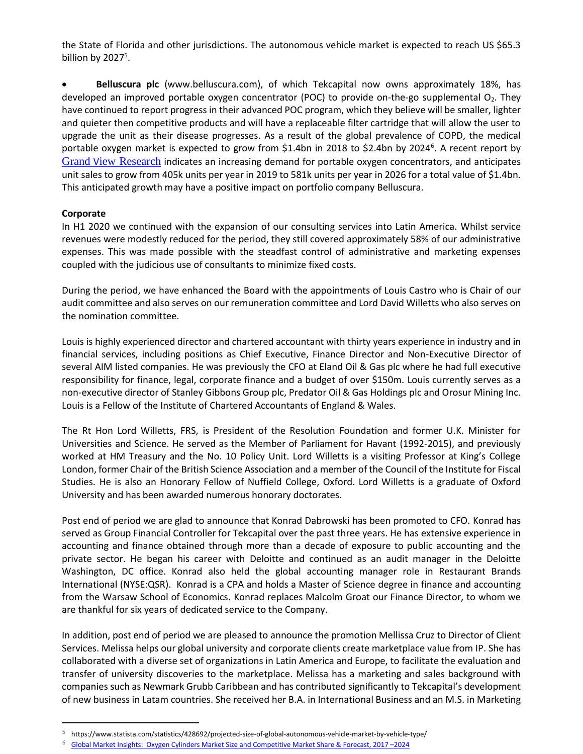the State of Florida and other jurisdictions. The autonomous vehicle market is expected to reach US \$65.3 billion by 2027<sup>5</sup>.

 **Belluscura plc** (www.belluscura.com), of which Tekcapital now owns approximately 18%, has developed an improved portable oxygen concentrator (POC) to provide on-the-go supplemental  $O<sub>2</sub>$ . They have continued to report progress in their advanced POC program, which they believe will be smaller, lighter and quieter then competitive products and will have a replaceable filter cartridge that will allow the user to upgrade the unit as their disease progresses. As a result of the global prevalence of COPD, the medical portable oxygen market is expected to grow from \$1.4bn in 2018 to \$2.4bn by 2024<sup>6</sup>. A recent report by Grand V[iew Research](https://drive.google.com/file/d/1s5Ou0UQWwjUfWAZ4TNcVMAtsBivvH9r5/view) indicates an increasing demand for portable oxygen concentrators, and anticipates unit sales to grow from 405k units per year in 2019 to 581k units per year in 2026 for a total value of \$1.4bn. This anticipated growth may have a positive impact on portfolio company Belluscura.

### **Corporate**

i<br>L

In H1 2020 we continued with the expansion of our consulting services into Latin America. Whilst service revenues were modestly reduced for the period, they still covered approximately 58% of our administrative expenses. This was made possible with the steadfast control of administrative and marketing expenses coupled with the judicious use of consultants to minimize fixed costs.

During the period, we have enhanced the Board with the appointments of Louis Castro who is Chair of our audit committee and also serves on our remuneration committee and Lord David Willetts who also serves on the nomination committee.

Louis is highly experienced director and chartered accountant with thirty years experience in industry and in financial services, including positions as Chief Executive, Finance Director and Non-Executive Director of several AIM listed companies. He was previously the CFO at Eland Oil & Gas plc where he had full executive responsibility for finance, legal, corporate finance and a budget of over \$150m. Louis currently serves as a non-executive director of Stanley Gibbons Group plc, Predator Oil & Gas Holdings plc and Orosur Mining Inc. Louis is a Fellow of the Institute of Chartered Accountants of England & Wales.

The Rt Hon Lord Willetts, FRS, is President of the Resolution Foundation and former U.K. Minister for Universities and Science. He served as the Member of Parliament for Havant (1992-2015), and previously worked at HM Treasury and the No. 10 Policy Unit. Lord Willetts is a visiting Professor at King's College London, former Chair of the British Science Association and a member of the Council of the Institute for Fiscal Studies. He is also an Honorary Fellow of Nuffield College, Oxford. Lord Willetts is a graduate of Oxford University and has been awarded numerous honorary doctorates.

Post end of period we are glad to announce that Konrad Dabrowski has been promoted to CFO. Konrad has served as Group Financial Controller for Tekcapital over the past three years. He has extensive experience in accounting and finance obtained through more than a decade of exposure to public accounting and the private sector. He began his career with Deloitte and continued as an audit manager in the Deloitte Washington, DC office. Konrad also held the global accounting manager role in Restaurant Brands International (NYSE:QSR). Konrad is a CPA and holds a Master of Science degree in finance and accounting from the Warsaw School of Economics. Konrad replaces Malcolm Groat our Finance Director, to whom we are thankful for six years of dedicated service to the Company.

In addition, post end of period we are pleased to announce the promotion Mellissa Cruz to Director of Client Services. Melissa helps our global university and corporate clients create marketplace value from IP. She has collaborated with a diverse set of organizations in Latin America and Europe, to facilitate the evaluation and transfer of university discoveries to the marketplace. Melissa has a marketing and sales background with companies such as Newmark Grubb Caribbean and has contributed significantly to Tekcapital's development of new business in Latam countries. She received her B.A. in International Business and an M.S. in Marketing

<sup>5</sup> https://www.statista.com/statistics/428692/projected-size-of-global-autonomous-vehicle-market-by-vehicle-type/

<sup>6</sup> [Global Market Insights: Oxygen Cylinders Market Size and Competitive Market Share & Forecast, 2017](https://drive.google.com/file/d/1s5Ou0UQWwjUfWAZ4TNcVMAtsBivvH9r5/view) –2024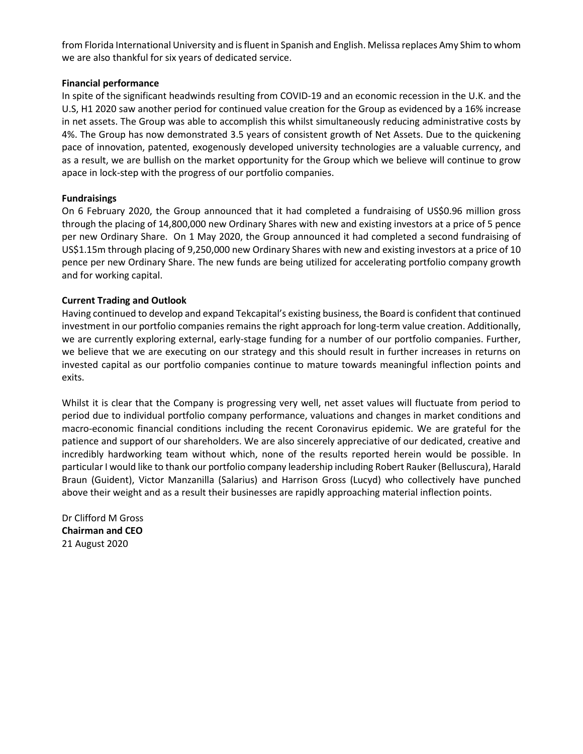from Florida International University and is fluent in Spanish and English. Melissa replaces Amy Shim to whom we are also thankful for six years of dedicated service.

### **Financial performance**

In spite of the significant headwinds resulting from COVID-19 and an economic recession in the U.K. and the U.S, H1 2020 saw another period for continued value creation for the Group as evidenced by a 16% increase in net assets. The Group was able to accomplish this whilst simultaneously reducing administrative costs by 4%. The Group has now demonstrated 3.5 years of consistent growth of Net Assets. Due to the quickening pace of innovation, patented, exogenously developed university technologies are a valuable currency, and as a result, we are bullish on the market opportunity for the Group which we believe will continue to grow apace in lock-step with the progress of our portfolio companies.

### **Fundraisings**

On 6 February 2020, the Group announced that it had completed a fundraising of US\$0.96 million gross through the placing of 14,800,000 new Ordinary Shares with new and existing investors at a price of 5 pence per new Ordinary Share. On 1 May 2020, the Group announced it had completed a second fundraising of US\$1.15m through placing of 9,250,000 new Ordinary Shares with new and existing investors at a price of 10 pence per new Ordinary Share. The new funds are being utilized for accelerating portfolio company growth and for working capital.

### **Current Trading and Outlook**

Having continued to develop and expand Tekcapital's existing business, the Board is confident that continued investment in our portfolio companies remains the right approach for long-term value creation. Additionally, we are currently exploring external, early-stage funding for a number of our portfolio companies. Further, we believe that we are executing on our strategy and this should result in further increases in returns on invested capital as our portfolio companies continue to mature towards meaningful inflection points and exits.

Whilst it is clear that the Company is progressing very well, net asset values will fluctuate from period to period due to individual portfolio company performance, valuations and changes in market conditions and macro-economic financial conditions including the recent Coronavirus epidemic. We are grateful for the patience and support of our shareholders. We are also sincerely appreciative of our dedicated, creative and incredibly hardworking team without which, none of the results reported herein would be possible. In particular I would like to thank our portfolio company leadership including Robert Rauker (Belluscura), Harald Braun (Guident), Victor Manzanilla (Salarius) and Harrison Gross (Lucyd) who collectively have punched above their weight and as a result their businesses are rapidly approaching material inflection points.

Dr Clifford M Gross **Chairman and CEO** 21 August 2020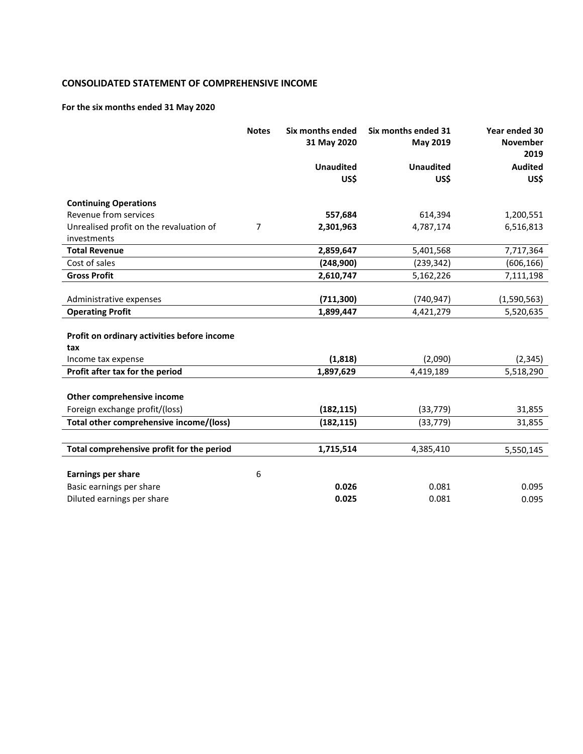### **CONSOLIDATED STATEMENT OF COMPREHENSIVE INCOME**

# **For the six months ended 31 May 2020**

|                                             | <b>Notes</b> | Six months ended<br>31 May 2020 | Six months ended 31<br>May 2019 | Year ended 30<br><b>November</b><br>2019 |
|---------------------------------------------|--------------|---------------------------------|---------------------------------|------------------------------------------|
|                                             |              | <b>Unaudited</b>                | <b>Unaudited</b>                | <b>Audited</b>                           |
|                                             |              | US\$                            | US\$                            | US\$                                     |
| <b>Continuing Operations</b>                |              |                                 |                                 |                                          |
| Revenue from services                       |              | 557,684                         | 614,394                         | 1,200,551                                |
| Unrealised profit on the revaluation of     | 7            | 2,301,963                       | 4,787,174                       | 6,516,813                                |
| investments                                 |              |                                 |                                 |                                          |
| <b>Total Revenue</b>                        |              | 2,859,647                       | 5,401,568                       | 7,717,364                                |
| Cost of sales                               |              | (248,900)                       | (239, 342)                      | (606, 166)                               |
| <b>Gross Profit</b>                         |              | 2,610,747                       | 5,162,226                       | 7,111,198                                |
|                                             |              |                                 |                                 |                                          |
| Administrative expenses                     |              | (711, 300)                      | (740, 947)                      | (1,590,563)                              |
| <b>Operating Profit</b>                     |              | 1,899,447                       | 4,421,279                       | 5,520,635                                |
|                                             |              |                                 |                                 |                                          |
| Profit on ordinary activities before income |              |                                 |                                 |                                          |
| tax                                         |              |                                 |                                 |                                          |
| Income tax expense                          |              | (1,818)                         | (2,090)                         | (2, 345)                                 |
| Profit after tax for the period             |              | 1,897,629                       | 4,419,189                       | 5,518,290                                |
|                                             |              |                                 |                                 |                                          |
| Other comprehensive income                  |              |                                 |                                 |                                          |
| Foreign exchange profit/(loss)              |              | (182, 115)                      | (33, 779)                       | 31,855                                   |
| Total other comprehensive income/(loss)     |              | (182, 115)                      | (33, 779)                       | 31,855                                   |
|                                             |              |                                 |                                 |                                          |
| Total comprehensive profit for the period   |              | 1,715,514                       | 4,385,410                       | 5,550,145                                |
|                                             |              |                                 |                                 |                                          |
| <b>Earnings per share</b>                   | 6            |                                 |                                 |                                          |
| Basic earnings per share                    |              | 0.026                           | 0.081                           | 0.095                                    |
| Diluted earnings per share                  |              | 0.025                           | 0.081                           | 0.095                                    |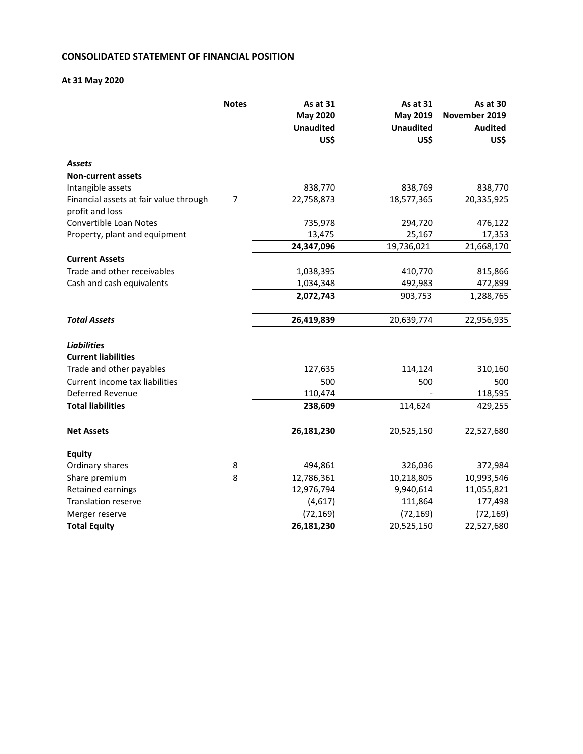### **CONSOLIDATED STATEMENT OF FINANCIAL POSITION**

### **At 31 May 2020**

|                                                           | <b>Notes</b> | As at 31<br><b>May 2020</b><br><b>Unaudited</b><br>US\$ | <b>As at 31</b><br>May 2019<br><b>Unaudited</b><br>US\$ | As at 30<br>November 2019<br><b>Audited</b><br>US\$ |
|-----------------------------------------------------------|--------------|---------------------------------------------------------|---------------------------------------------------------|-----------------------------------------------------|
| Assets                                                    |              |                                                         |                                                         |                                                     |
| <b>Non-current assets</b>                                 |              |                                                         |                                                         |                                                     |
| Intangible assets                                         |              | 838,770                                                 | 838,769                                                 | 838,770                                             |
| Financial assets at fair value through<br>profit and loss | 7            | 22,758,873                                              | 18,577,365                                              | 20,335,925                                          |
| Convertible Loan Notes                                    |              | 735,978                                                 | 294,720                                                 | 476,122                                             |
| Property, plant and equipment                             |              | 13,475                                                  | 25,167                                                  | 17,353                                              |
|                                                           |              | 24,347,096                                              | 19,736,021                                              | 21,668,170                                          |
| <b>Current Assets</b>                                     |              |                                                         |                                                         |                                                     |
| Trade and other receivables                               |              | 1,038,395                                               | 410,770                                                 | 815,866                                             |
| Cash and cash equivalents                                 |              | 1,034,348                                               | 492,983                                                 | 472,899                                             |
|                                                           |              | 2,072,743                                               | 903,753                                                 | 1,288,765                                           |
| <b>Total Assets</b>                                       |              | 26,419,839                                              | 20,639,774                                              | 22,956,935                                          |
| <b>Liabilities</b>                                        |              |                                                         |                                                         |                                                     |
| <b>Current liabilities</b>                                |              |                                                         |                                                         |                                                     |
| Trade and other payables                                  |              | 127,635                                                 | 114,124                                                 | 310,160                                             |
| Current income tax liabilities                            |              | 500                                                     | 500                                                     | 500                                                 |
| Deferred Revenue                                          |              | 110,474                                                 |                                                         | 118,595                                             |
| <b>Total liabilities</b>                                  |              | 238,609                                                 | 114,624                                                 | 429,255                                             |
| <b>Net Assets</b>                                         |              | 26,181,230                                              | 20,525,150                                              | 22,527,680                                          |
| Equity                                                    |              |                                                         |                                                         |                                                     |
| Ordinary shares                                           | 8            | 494,861                                                 | 326,036                                                 | 372,984                                             |
| Share premium                                             | 8            | 12,786,361                                              | 10,218,805                                              | 10,993,546                                          |
| Retained earnings                                         |              | 12,976,794                                              | 9,940,614                                               | 11,055,821                                          |
| <b>Translation reserve</b>                                |              | (4,617)                                                 | 111,864                                                 | 177,498                                             |
| Merger reserve                                            |              | (72, 169)                                               | (72, 169)                                               | (72, 169)                                           |
| <b>Total Equity</b>                                       |              | 26,181,230                                              | 20,525,150                                              | 22,527,680                                          |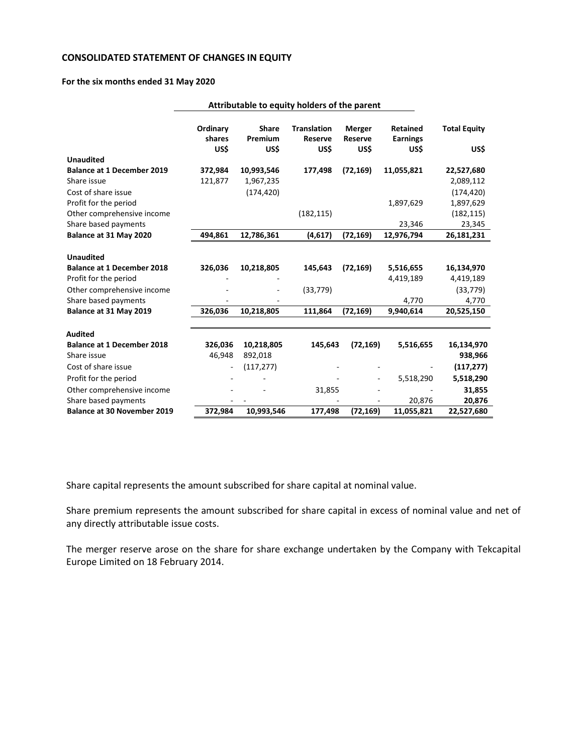### **CONSOLIDATED STATEMENT OF CHANGES IN EQUITY**

#### **For the six months ended 31 May 2020**

|                                                    | Attributable to equity holders of the parent |                                 |                                              |                                         |                                            |                             |
|----------------------------------------------------|----------------------------------------------|---------------------------------|----------------------------------------------|-----------------------------------------|--------------------------------------------|-----------------------------|
|                                                    | Ordinary<br>shares<br>US\$                   | <b>Share</b><br>Premium<br>US\$ | <b>Translation</b><br><b>Reserve</b><br>US\$ | <b>Merger</b><br><b>Reserve</b><br>US\$ | <b>Retained</b><br><b>Earnings</b><br>US\$ | <b>Total Equity</b><br>US\$ |
| <b>Unaudited</b>                                   |                                              |                                 |                                              |                                         |                                            |                             |
| <b>Balance at 1 December 2019</b><br>Share issue   | 372,984<br>121,877                           | 10,993,546<br>1,967,235         | 177,498                                      | (72, 169)                               | 11,055,821                                 | 22,527,680<br>2,089,112     |
| Cost of share issue<br>Profit for the period       |                                              | (174, 420)                      |                                              |                                         | 1,897,629                                  | (174, 420)<br>1,897,629     |
| Other comprehensive income<br>Share based payments |                                              |                                 | (182, 115)                                   |                                         | 23,346                                     | (182, 115)<br>23,345        |
| Balance at 31 May 2020                             | 494,861                                      | 12,786,361                      | (4,617)                                      | (72, 169)                               | 12,976,794                                 | 26,181,231                  |
| <b>Unaudited</b>                                   |                                              |                                 |                                              |                                         |                                            |                             |
| <b>Balance at 1 December 2018</b>                  | 326,036                                      | 10,218,805                      | 145,643                                      | (72, 169)                               | 5,516,655                                  | 16,134,970                  |
| Profit for the period                              |                                              |                                 |                                              |                                         | 4,419,189                                  | 4,419,189                   |
| Other comprehensive income                         |                                              |                                 | (33, 779)                                    |                                         |                                            | (33, 779)                   |
| Share based payments                               |                                              |                                 |                                              |                                         | 4,770                                      | 4,770                       |
| Balance at 31 May 2019                             | 326,036                                      | 10,218,805                      | 111,864                                      | (72, 169)                               | 9,940,614                                  | 20,525,150                  |
| <b>Audited</b>                                     |                                              |                                 |                                              |                                         |                                            |                             |
| <b>Balance at 1 December 2018</b>                  | 326,036                                      | 10,218,805                      | 145,643                                      | (72, 169)                               | 5,516,655                                  | 16,134,970                  |
| Share issue                                        | 46,948                                       | 892,018                         |                                              |                                         |                                            | 938,966                     |
| Cost of share issue                                |                                              | (117, 277)                      |                                              |                                         |                                            | (117, 277)                  |
| Profit for the period                              |                                              |                                 |                                              |                                         | 5,518,290                                  | 5,518,290                   |
| Other comprehensive income                         |                                              |                                 | 31,855                                       |                                         |                                            | 31,855                      |
| Share based payments                               |                                              |                                 |                                              |                                         | 20,876                                     | 20,876                      |
| <b>Balance at 30 November 2019</b>                 | 372,984                                      | 10,993,546                      | 177,498                                      | (72, 169)                               | 11,055,821                                 | 22,527,680                  |

Share capital represents the amount subscribed for share capital at nominal value.

Share premium represents the amount subscribed for share capital in excess of nominal value and net of any directly attributable issue costs.

The merger reserve arose on the share for share exchange undertaken by the Company with Tekcapital Europe Limited on 18 February 2014.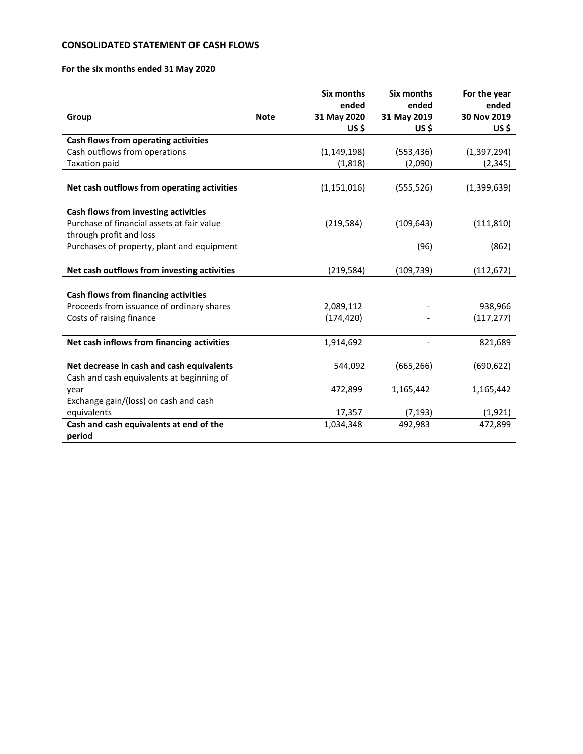### **CONSOLIDATED STATEMENT OF CASH FLOWS**

### **For the six months ended 31 May 2020**

|                                             |             | Six months    | Six months               | For the year  |
|---------------------------------------------|-------------|---------------|--------------------------|---------------|
|                                             |             | ended         | ended                    | ended         |
| Group                                       | <b>Note</b> | 31 May 2020   | 31 May 2019              | 30 Nov 2019   |
|                                             |             | US\$          | $US$ \$                  | US\$          |
| Cash flows from operating activities        |             |               |                          |               |
| Cash outflows from operations               |             | (1, 149, 198) | (553, 436)               | (1, 397, 294) |
| <b>Taxation paid</b>                        |             | (1, 818)      | (2,090)                  | (2, 345)      |
|                                             |             |               |                          |               |
| Net cash outflows from operating activities |             | (1, 151, 016) | (555, 526)               | (1,399,639)   |
|                                             |             |               |                          |               |
| Cash flows from investing activities        |             |               |                          |               |
| Purchase of financial assets at fair value  |             | (219, 584)    | (109, 643)               | (111, 810)    |
| through profit and loss                     |             |               |                          |               |
| Purchases of property, plant and equipment  |             |               | (96)                     | (862)         |
|                                             |             |               |                          |               |
| Net cash outflows from investing activities |             | (219, 584)    | (109, 739)               | (112, 672)    |
|                                             |             |               |                          |               |
| Cash flows from financing activities        |             |               |                          |               |
| Proceeds from issuance of ordinary shares   |             | 2,089,112     |                          | 938,966       |
| Costs of raising finance                    |             | (174, 420)    |                          | (117, 277)    |
|                                             |             |               |                          |               |
| Net cash inflows from financing activities  |             | 1,914,692     | $\overline{\phantom{0}}$ | 821,689       |
|                                             |             |               |                          |               |
| Net decrease in cash and cash equivalents   |             | 544,092       | (665, 266)               | (690, 622)    |
| Cash and cash equivalents at beginning of   |             |               |                          |               |
| year                                        |             | 472,899       | 1,165,442                | 1,165,442     |
| Exchange gain/(loss) on cash and cash       |             |               |                          |               |
| equivalents                                 |             | 17,357        | (7, 193)                 | (1, 921)      |
| Cash and cash equivalents at end of the     |             | 1,034,348     | 492,983                  | 472,899       |
| period                                      |             |               |                          |               |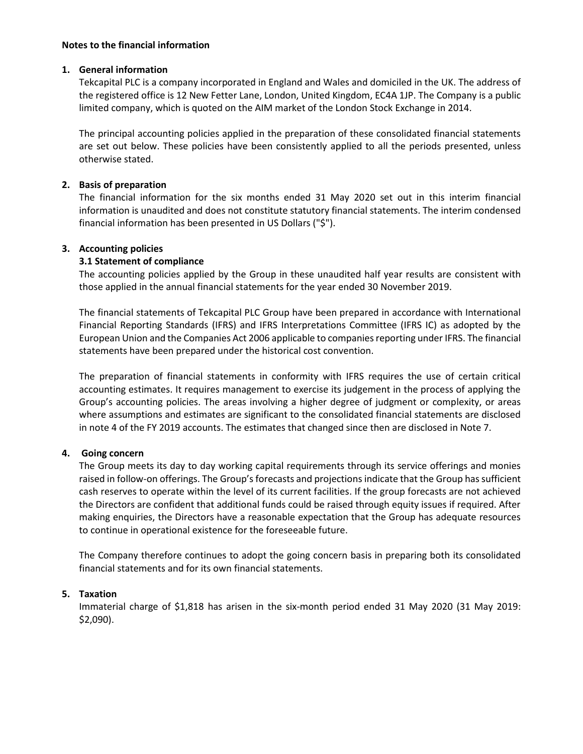### **Notes to the financial information**

### **1. General information**

Tekcapital PLC is a company incorporated in England and Wales and domiciled in the UK. The address of the registered office is 12 New Fetter Lane, London, United Kingdom, EC4A 1JP. The Company is a public limited company, which is quoted on the AIM market of the London Stock Exchange in 2014.

The principal accounting policies applied in the preparation of these consolidated financial statements are set out below. These policies have been consistently applied to all the periods presented, unless otherwise stated.

### **2. Basis of preparation**

The financial information for the six months ended 31 May 2020 set out in this interim financial information is unaudited and does not constitute statutory financial statements. The interim condensed financial information has been presented in US Dollars ("\$").

### **3. Accounting policies**

### **3.1 Statement of compliance**

The accounting policies applied by the Group in these unaudited half year results are consistent with those applied in the annual financial statements for the year ended 30 November 2019.

The financial statements of Tekcapital PLC Group have been prepared in accordance with International Financial Reporting Standards (IFRS) and IFRS Interpretations Committee (IFRS IC) as adopted by the European Union and the Companies Act 2006 applicable to companies reporting under IFRS. The financial statements have been prepared under the historical cost convention.

The preparation of financial statements in conformity with IFRS requires the use of certain critical accounting estimates. It requires management to exercise its judgement in the process of applying the Group's accounting policies. The areas involving a higher degree of judgment or complexity, or areas where assumptions and estimates are significant to the consolidated financial statements are disclosed in note 4 of the FY 2019 accounts. The estimates that changed since then are disclosed in Note 7.

### **4. Going concern**

The Group meets its day to day working capital requirements through its service offerings and monies raised in follow-on offerings. The Group's forecasts and projections indicate that the Group has sufficient cash reserves to operate within the level of its current facilities. If the group forecasts are not achieved the Directors are confident that additional funds could be raised through equity issues if required. After making enquiries, the Directors have a reasonable expectation that the Group has adequate resources to continue in operational existence for the foreseeable future.

The Company therefore continues to adopt the going concern basis in preparing both its consolidated financial statements and for its own financial statements.

### **5. Taxation**

Immaterial charge of \$1,818 has arisen in the six-month period ended 31 May 2020 (31 May 2019: \$2,090).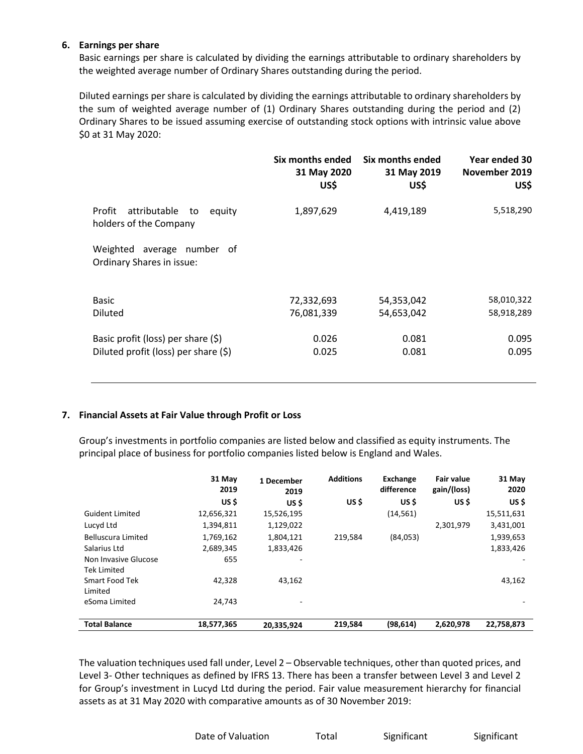### **6. Earnings per share**

Basic earnings per share is calculated by dividing the earnings attributable to ordinary shareholders by the weighted average number of Ordinary Shares outstanding during the period.

Diluted earnings per share is calculated by dividing the earnings attributable to ordinary shareholders by the sum of weighted average number of (1) Ordinary Shares outstanding during the period and (2) Ordinary Shares to be issued assuming exercise of outstanding stock options with intrinsic value above \$0 at 31 May 2020:

|                                                                  | Six months ended<br>31 May 2020<br>US\$ | Six months ended<br>31 May 2019<br>US\$ | Year ended 30<br>November 2019<br>US\$ |
|------------------------------------------------------------------|-----------------------------------------|-----------------------------------------|----------------------------------------|
| attributable<br>Profit<br>equity<br>to<br>holders of the Company | 1,897,629                               | 4,419,189                               | 5,518,290                              |
| Weighted<br>average number of<br>Ordinary Shares in issue:       |                                         |                                         |                                        |
| <b>Basic</b>                                                     | 72,332,693                              | 54,353,042                              | 58,010,322                             |
| <b>Diluted</b>                                                   | 76,081,339                              | 54,653,042                              | 58,918,289                             |
| Basic profit (loss) per share $(\xi)$                            | 0.026                                   | 0.081                                   | 0.095                                  |
| Diluted profit (loss) per share (\$)                             | 0.025                                   | 0.081                                   | 0.095                                  |

### **7. Financial Assets at Fair Value through Profit or Loss**

Group's investments in portfolio companies are listed below and classified as equity instruments. The principal place of business for portfolio companies listed below is England and Wales.

|                                            | 31 May<br>2019 | 1 December<br>2019 | <b>Additions</b> | Exchange<br>difference | <b>Fair value</b><br>gain/(loss) | 31 May<br>2020 |
|--------------------------------------------|----------------|--------------------|------------------|------------------------|----------------------------------|----------------|
|                                            | US \$          | US \$              | US \$            | US \$                  | US \$                            | US \$          |
| <b>Guident Limited</b>                     | 12,656,321     | 15,526,195         |                  | (14, 561)              |                                  | 15,511,631     |
| Lucyd Ltd                                  | 1,394,811      | 1,129,022          |                  |                        | 2,301,979                        | 3,431,001      |
| <b>Belluscura Limited</b>                  | 1,769,162      | 1,804,121          | 219,584          | (84,053)               |                                  | 1,939,653      |
| Salarius Ltd                               | 2,689,345      | 1,833,426          |                  |                        |                                  | 1,833,426      |
| Non Invasive Glucose<br><b>Tek Limited</b> | 655            |                    |                  |                        |                                  |                |
| Smart Food Tek<br>Limited                  | 42.328         | 43.162             |                  |                        |                                  | 43,162         |
| eSoma Limited                              | 24,743         |                    |                  |                        |                                  |                |
| <b>Total Balance</b>                       | 18,577,365     | 20,335,924         | 219,584          | (98, 614)              | 2,620,978                        | 22,758,873     |

The valuation techniques used fall under, Level 2 – Observable techniques, other than quoted prices, and Level 3- Other techniques as defined by IFRS 13. There has been a transfer between Level 3 and Level 2 for Group's investment in Lucyd Ltd during the period. Fair value measurement hierarchy for financial assets as at 31 May 2020 with comparative amounts as of 30 November 2019: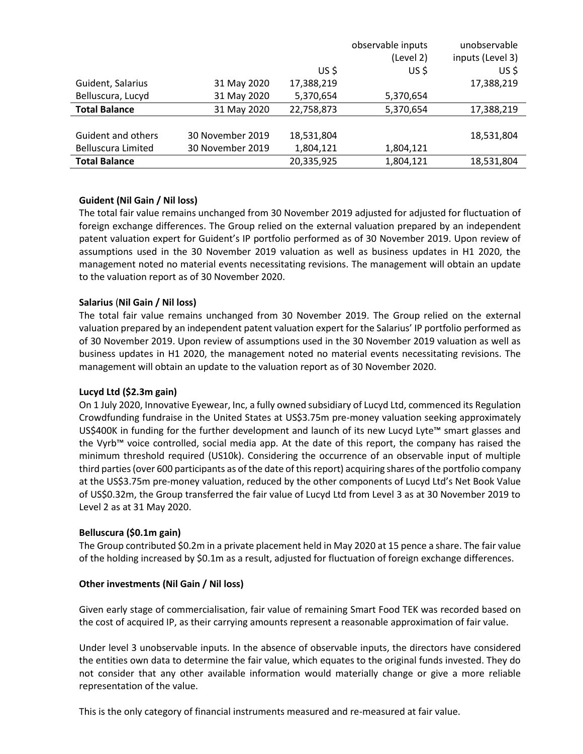|                           |                  |            | observable inputs | unobservable     |
|---------------------------|------------------|------------|-------------------|------------------|
|                           |                  |            | (Level 2)         | inputs (Level 3) |
|                           |                  | US \$      | US \$             | US\$             |
| Guident, Salarius         | 31 May 2020      | 17,388,219 |                   | 17,388,219       |
| Belluscura, Lucyd         | 31 May 2020      | 5,370,654  | 5,370,654         |                  |
| <b>Total Balance</b>      | 31 May 2020      | 22,758,873 | 5,370,654         | 17,388,219       |
|                           |                  |            |                   |                  |
| Guident and others        | 30 November 2019 | 18,531,804 |                   | 18,531,804       |
| <b>Belluscura Limited</b> | 30 November 2019 | 1,804,121  | 1,804,121         |                  |
| <b>Total Balance</b>      |                  | 20,335,925 | 1,804,121         | 18,531,804       |

### **Guident (Nil Gain / Nil loss)**

The total fair value remains unchanged from 30 November 2019 adjusted for adjusted for fluctuation of foreign exchange differences. The Group relied on the external valuation prepared by an independent patent valuation expert for Guident's IP portfolio performed as of 30 November 2019. Upon review of assumptions used in the 30 November 2019 valuation as well as business updates in H1 2020, the management noted no material events necessitating revisions. The management will obtain an update to the valuation report as of 30 November 2020.

### **Salarius** (**Nil Gain / Nil loss)**

The total fair value remains unchanged from 30 November 2019. The Group relied on the external valuation prepared by an independent patent valuation expert for the Salarius' IP portfolio performed as of 30 November 2019. Upon review of assumptions used in the 30 November 2019 valuation as well as business updates in H1 2020, the management noted no material events necessitating revisions. The management will obtain an update to the valuation report as of 30 November 2020.

### **Lucyd Ltd (\$2.3m gain)**

On 1 July 2020, Innovative Eyewear, Inc, a fully owned subsidiary of Lucyd Ltd, commenced its Regulation Crowdfunding fundraise in the United States at US\$3.75m pre-money valuation seeking approximately US\$400K in funding for the further development and launch of its new Lucyd Lyte™ smart glasses and the Vyrb™ voice controlled, social media app. At the date of this report, the company has raised the minimum threshold required (US10k). Considering the occurrence of an observable input of multiple third parties(over 600 participants as of the date of this report) acquiring shares of the portfolio company at the US\$3.75m pre-money valuation, reduced by the other components of Lucyd Ltd's Net Book Value of US\$0.32m, the Group transferred the fair value of Lucyd Ltd from Level 3 as at 30 November 2019 to Level 2 as at 31 May 2020.

### **Belluscura (\$0.1m gain)**

The Group contributed \$0.2m in a private placement held in May 2020 at 15 pence a share. The fair value of the holding increased by \$0.1m as a result, adjusted for fluctuation of foreign exchange differences.

# **Other investments (Nil Gain / Nil loss)**

Given early stage of commercialisation, fair value of remaining Smart Food TEK was recorded based on the cost of acquired IP, as their carrying amounts represent a reasonable approximation of fair value.

Under level 3 unobservable inputs. In the absence of observable inputs, the directors have considered the entities own data to determine the fair value, which equates to the original funds invested. They do not consider that any other available information would materially change or give a more reliable representation of the value.

This is the only category of financial instruments measured and re-measured at fair value.